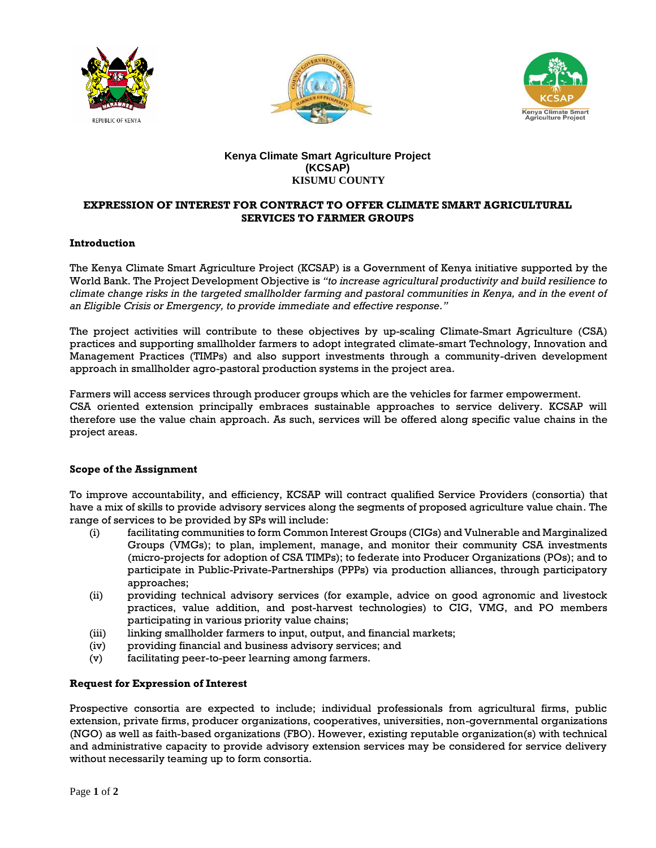





# **Kenya Climate Smart Agriculture Project (KCSAP) KISUMU COUNTY**

# **EXPRESSION OF INTEREST FOR CONTRACT TO OFFER CLIMATE SMART AGRICULTURAL SERVICES TO FARMER GROUPS**

#### **Introduction**

The Kenya Climate Smart Agriculture Project (KCSAP) is a Government of Kenya initiative supported by the World Bank. The Project Development Objective is *"to increase agricultural productivity and build resilience to climate change risks in the targeted smallholder farming and pastoral communities in Kenya, and in the event of an Eligible Crisis or Emergency, to provide immediate and effective response."*

The project activities will contribute to these objectives by up-scaling Climate-Smart Agriculture (CSA) practices and supporting smallholder farmers to adopt integrated climate-smart Technology, Innovation and Management Practices (TIMPs) and also support investments through a community-driven development approach in smallholder agro-pastoral production systems in the project area.

Farmers will access services through producer groups which are the vehicles for farmer empowerment. CSA oriented extension principally embraces sustainable approaches to service delivery. KCSAP will therefore use the value chain approach. As such, services will be offered along specific value chains in the project areas.

## **Scope of the Assignment**

To improve accountability, and efficiency, KCSAP will contract qualified Service Providers (consortia) that have a mix of skills to provide advisory services along the segments of proposed agriculture value chain. The range of services to be provided by SPs will include:

- (i) facilitating communities to form Common Interest Groups (CIGs) and Vulnerable and Marginalized Groups (VMGs); to plan, implement, manage, and monitor their community CSA investments (micro-projects for adoption of CSA TIMPs); to federate into Producer Organizations (POs); and to participate in Public-Private-Partnerships (PPPs) via production alliances, through participatory approaches;
- (ii) providing technical advisory services (for example, advice on good agronomic and livestock practices, value addition, and post-harvest technologies) to CIG, VMG, and PO members participating in various priority value chains;
- (iii) linking smallholder farmers to input, output, and financial markets;
- (iv) providing financial and business advisory services; and
- (v) facilitating peer-to-peer learning among farmers.

## **Request for Expression of Interest**

Prospective consortia are expected to include; individual professionals from agricultural firms, public extension, private firms, producer organizations, cooperatives, universities, non-governmental organizations (NGO) as well as faith-based organizations (FBO). However, existing reputable organization(s) with technical and administrative capacity to provide advisory extension services may be considered for service delivery without necessarily teaming up to form consortia.